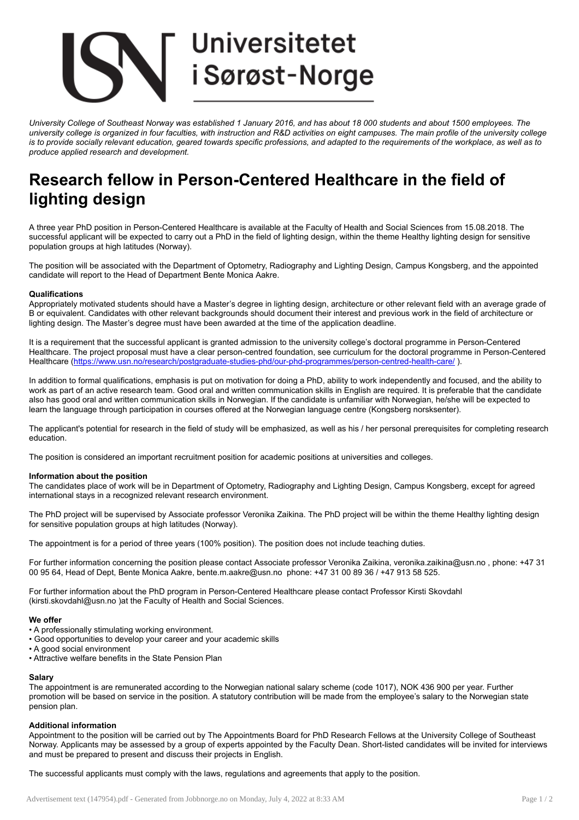# **Universitetet** i Sørøst-Norge

University College of Southeast Norway was established 1 January 2016, and has about 18 000 students and about 1500 employees. The university college is organized in four faculties, with instruction and R&D activities on eight campuses. The main profile of the university college is to provide socially relevant education, geared towards specific professions, and adapted to the requirements of the workplace, as well as to *produce applied research and development.*

# Research fellow in Person-Centered Healthcare in the field of lighting design

A three year PhD position in Person-Centered Healthcare is available at the Faculty of Health and Social Sciences from 15.08.2018. The successful applicant will be expected to carry out a PhD in the field of lighting design, within the theme Healthy lighting design for sensitive population groups at high latitudes (Norway).

The position will be associated with the Department of Optometry, Radiography and Lighting Design, Campus Kongsberg, and the appointed candidate will report to the Head of Department Bente Monica Aakre.

### **Qualifications**

Appropriately motivated students should have a Master's degree in lighting design, architecture or other relevant field with an average grade of B or equivalent. Candidates with other relevant backgrounds should document their interest and previous work in the field of architecture or lighting design. The Master's degree must have been awarded at the time of the application deadline.

It is a requirement that the successful applicant is granted admission to the university college's doctoral programme in Person-Centered Healthcare. The project proposal must have a clear person-centred foundation, see curriculum for the doctoral programme in Person-Centered Healthcare (<https://www.usn.no/research/postgraduate-studies-phd/our-phd-programmes/person-centred-health-care/> ).

In addition to formal qualifications, emphasis is put on motivation for doing a PhD, ability to work independently and focused, and the ability to work as part of an active research team. Good oral and written communication skills in English are required. It is preferable that the candidate also has good oral and written communication skills in Norwegian. If the candidate is unfamiliar with Norwegian, he/she will be expected to learn the language through participation in courses offered at the Norwegian language centre (Kongsberg norsksenter).

The applicant's potential for research in the field of study will be emphasized, as well as his / her personal prerequisites for completing research education.

The position is considered an important recruitment position for academic positions at universities and colleges.

#### Information about the position

The candidates place of work will be in Department of Optometry, Radiography and Lighting Design, Campus Kongsberg, except for agreed international stays in a recognized relevant research environment.

The PhD project will be supervised by Associate professor Veronika Zaikina. The PhD project will be within the theme Healthy lighting design for sensitive population groups at high latitudes (Norway).

The appointment is for a period of three years (100% position). The position does not include teaching duties.

For further information concerning the position please contact Associate professor Veronika Zaikina, veronika.zaikina@usn.no , phone: +47 31 00 95 64, Head of Dept, Bente Monica Aakre, bente.m.aakre@usn.no phone: +47 31 00 89 36 / +47 913 58 525.

For further information about the PhD program in Person-Centered Healthcare please contact Professor Kirsti Skovdahl (kirsti.skovdahl@usn.no )at the Faculty of Health and Social Sciences.

#### We offer

- A professionally stimulating working environment.
- Good opportunities to develop your career and your academic skills
- A good social environment
- Attractive welfare benefits in the State Pension Plan

#### Salary

The appointment is are remunerated according to the Norwegian national salary scheme (code 1017), NOK 436 900 per year. Further promotion will be based on service in the position. A statutory contribution will be made from the employee's salary to the Norwegian state pension plan.

#### Additional information

Appointment to the position will be carried out by The Appointments Board for PhD Research Fellows at the University College of Southeast Norway. Applicants may be assessed by a group of experts appointed by the Faculty Dean. Short-listed candidates will be invited for interviews and must be prepared to present and discuss their projects in English.

The successful applicants must comply with the laws, regulations and agreements that apply to the position.